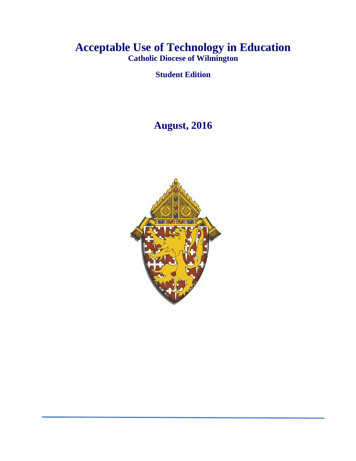# **Acceptable Use of Technology in Education Catholic Diocese of Wilmington**

**Student Edition**

# **August, 2016**

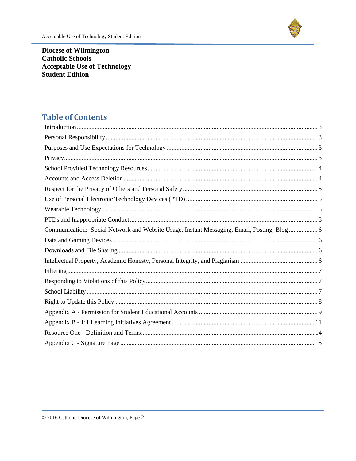**Diocese of Wilmington Catholic Schools Acceptable Use of Technology Student Edition** 

## **Table of Contents**

<span id="page-1-0"></span>

| Communication: Social Network and Website Usage, Instant Messaging, Email, Posting, Blog  6 |
|---------------------------------------------------------------------------------------------|
|                                                                                             |
|                                                                                             |
|                                                                                             |
|                                                                                             |
|                                                                                             |
|                                                                                             |
|                                                                                             |
|                                                                                             |
|                                                                                             |
|                                                                                             |
|                                                                                             |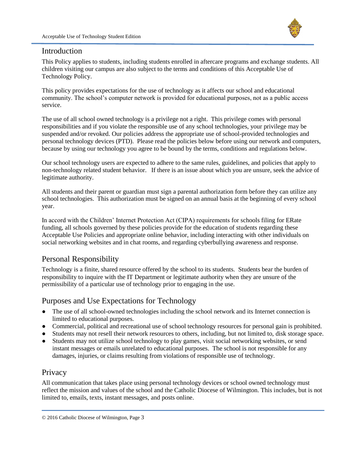

#### Introduction

This Policy applies to students, including students enrolled in aftercare programs and exchange students. All children visiting our campus are also subject to the terms and conditions of this Acceptable Use of Technology Policy.

This policy provides expectations for the use of technology as it affects our school and educational community. The school's computer network is provided for educational purposes, not as a public access service.

The use of all school owned technology is a privilege not a right. This privilege comes with personal responsibilities and if you violate the responsible use of any school technologies, your privilege may be suspended and/or revoked. Our policies address the appropriate use of school-provided technologies and personal technology devices (PTD). Please read the policies below before using our network and computers, because by using our technology you agree to be bound by the terms, conditions and regulations below.

Our school technology users are expected to adhere to the same rules, guidelines, and policies that apply to non-technology related student behavior. If there is an issue about which you are unsure, seek the advice of legitimate authority.

All students and their parent or guardian must sign a parental authorization form before they can utilize any school technologies. This authorization must be signed on an annual basis at the beginning of every school year.

In accord with the Children' Internet Protection Act (CIPA) requirements for schools filing for ERate funding, all schools governed by these policies provide for the education of students regarding these Acceptable Use Policies and appropriate online behavior, including interacting with other individuals on social networking websites and in chat rooms, and regarding cyberbullying awareness and response.

#### <span id="page-2-0"></span>Personal Responsibility

Technology is a finite, shared resource offered by the school to its students. Students bear the burden of responsibility to inquire with the IT Department or legitimate authority when they are unsure of the permissibility of a particular use of technology prior to engaging in the use.

### <span id="page-2-1"></span>Purposes and Use Expectations for Technology

- The use of all school-owned technologies including the school network and its Internet connection is limited to educational purposes.
- Commercial, political and recreational use of school technology resources for personal gain is prohibited.
- Students may not resell their network resources to others, including, but not limited to, disk storage space.
- Students may not utilize school technology to play games, visit social networking websites, or send instant messages or emails unrelated to educational purposes. The school is not responsible for any damages, injuries, or claims resulting from violations of responsible use of technology.

#### <span id="page-2-2"></span>**Privacy**

All communication that takes place using personal technology devices or school owned technology must reflect the mission and values of the school and the Catholic Diocese of Wilmington. This includes, but is not limited to, emails, texts, instant messages, and posts online.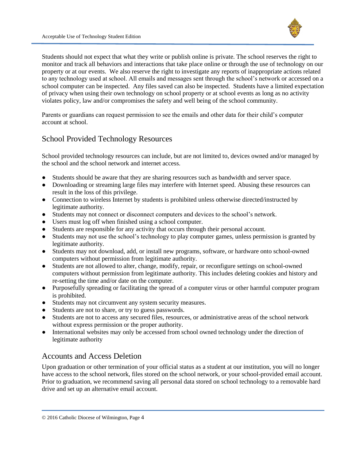

Students should not expect that what they write or publish online is private. The school reserves the right to monitor and track all behaviors and interactions that take place online or through the use of technology on our property or at our events. We also reserve the right to investigate any reports of inappropriate actions related to any technology used at school. All emails and messages sent through the school's network or accessed on a school computer can be inspected. Any files saved can also be inspected. Students have a limited expectation of privacy when using their own technology on school property or at school events as long as no activity violates policy, law and/or compromises the safety and well being of the school community.

Parents or guardians can request permission to see the emails and other data for their child's computer account at school.

### <span id="page-3-0"></span>School Provided Technology Resources

School provided technology resources can include, but are not limited to, devices owned and/or managed by the school and the school network and internet access.

- Students should be aware that they are sharing resources such as bandwidth and server space.
- Downloading or streaming large files may interfere with Internet speed. Abusing these resources can result in the loss of this privilege.
- Connection to wireless Internet by students is prohibited unless otherwise directed/instructed by legitimate authority.
- Students may not connect or disconnect computers and devices to the school's network.
- Users must log off when finished using a school computer.
- Students are responsible for any activity that occurs through their personal account.
- Students may not use the school's technology to play computer games, unless permission is granted by legitimate authority.
- Students may not download, add, or install new programs, software, or hardware onto school-owned computers without permission from legitimate authority.
- Students are not allowed to alter, change, modify, repair, or reconfigure settings on school-owned computers without permission from legitimate authority. This includes deleting cookies and history and re-setting the time and/or date on the computer.
- Purposefully spreading or facilitating the spread of a computer virus or other harmful computer program is prohibited.
- Students may not circumvent any system security measures.
- Students are not to share, or try to guess passwords.
- Students are not to access any secured files, resources, or administrative areas of the school network without express permission or the proper authority.
- International websites may only be accessed from school owned technology under the direction of legitimate authority

### <span id="page-3-1"></span>Accounts and Access Deletion

Upon graduation or other termination of your official status as a student at our institution, you will no longer have access to the school network, files stored on the school network, or your school-provided email account. Prior to graduation, we recommend saving all personal data stored on school technology to a removable hard drive and set up an alternative email account.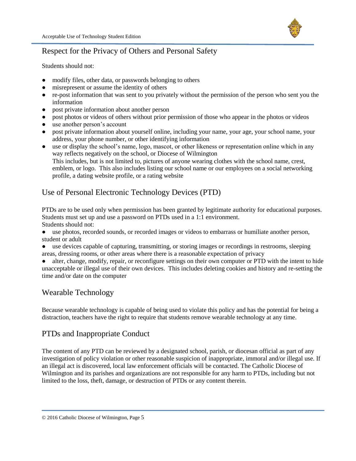

### <span id="page-4-0"></span>Respect for the Privacy of Others and Personal Safety

Students should not:

- modify files, other data, or passwords belonging to others
- misrepresent or assume the identity of others
- re-post information that was sent to you privately without the permission of the person who sent you the information
- post private information about another person
- post photos or videos of others without prior permission of those who appear in the photos or videos
- use another person's account
- post private information about yourself online, including your name, your age, your school name, your address, your phone number, or other identifying information
- use or display the school's name, logo, mascot, or other likeness or representation online which in any way reflects negatively on the school, or Diocese of Wilmington This includes, but is not limited to, pictures of anyone wearing clothes with the school name, crest, emblem, or logo. This also includes listing our school name or our employees on a social networking profile, a dating website profile, or a rating website

### <span id="page-4-1"></span>Use of Personal Electronic Technology Devices (PTD)

PTDs are to be used only when permission has been granted by legitimate authority for educational purposes. Students must set up and use a password on PTDs used in a 1:1 environment. Students should not:

● use photos, recorded sounds, or recorded images or videos to embarrass or humiliate another person, student or adult

● use devices capable of capturing, transmitting, or storing images or recordings in restrooms, sleeping areas, dressing rooms, or other areas where there is a reasonable expectation of privacy

alter, change, modify, repair, or reconfigure settings on their own computer or PTD with the intent to hide unacceptable or illegal use of their own devices. This includes deleting cookies and history and re-setting the time and/or date on the computer

### <span id="page-4-2"></span>Wearable Technology

Because wearable technology is capable of being used to violate this policy and has the potential for being a distraction, teachers have the right to require that students remove wearable technology at any time.

### <span id="page-4-3"></span>PTDs and Inappropriate Conduct

The content of any PTD can be reviewed by a designated school, parish, or diocesan official as part of any investigation of policy violation or other reasonable suspicion of inappropriate, immoral and/or illegal use. If an illegal act is discovered, local law enforcement officials will be contacted. The Catholic Diocese of Wilmington and its parishes and organizations are not responsible for any harm to PTDs, including but not limited to the loss, theft, damage, or destruction of PTDs or any content therein.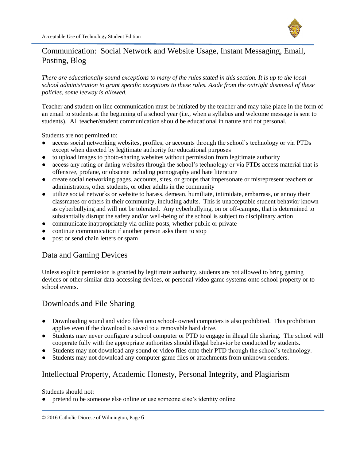

### <span id="page-5-0"></span>Communication: Social Network and Website Usage, Instant Messaging, Email, Posting, Blog

*There are educationally sound exceptions to many of the rules stated in this section. It is up to the local school administration to grant specific exceptions to these rules. Aside from the outright dismissal of these policies, some leeway is allowed.* 

Teacher and student on line communication must be initiated by the teacher and may take place in the form of an email to students at the beginning of a school year (i.e., when a syllabus and welcome message is sent to students). All teacher/student communication should be educational in nature and not personal.

Students are not permitted to:

- access social networking websites, profiles, or accounts through the school's technology or via PTDs except when directed by legitimate authority for educational purposes
- to upload images to photo-sharing websites without permission from legitimate authority
- access any rating or dating websites through the school's technology or via PTDs access material that is offensive, profane, or obscene including pornography and hate literature
- create social networking pages, accounts, sites, or groups that impersonate or misrepresent teachers or administrators, other students, or other adults in the community
- utilize social networks or website to harass, demean, humiliate, intimidate, embarrass, or annoy their classmates or others in their community, including adults. This is unacceptable student behavior known as cyberbullying and will not be tolerated. Any cyberbullying, on or off-campus, that is determined to substantially disrupt the safety and/or well-being of the school is subject to disciplinary action
- communicate inappropriately via online posts, whether public or private
- continue communication if another person asks them to stop
- <span id="page-5-1"></span>• post or send chain letters or spam

### Data and Gaming Devices

Unless explicit permission is granted by legitimate authority, students are not allowed to bring gaming devices or other similar data-accessing devices, or personal video game systems onto school property or to school events.

### <span id="page-5-2"></span>Downloads and File Sharing

- Downloading sound and video files onto school- owned computers is also prohibited. This prohibition applies even if the download is saved to a removable hard drive.
- Students may never configure a school computer or PTD to engage in illegal file sharing. The school will cooperate fully with the appropriate authorities should illegal behavior be conducted by students.
- Students may not download any sound or video files onto their PTD through the school's technology.
- <span id="page-5-3"></span>● Students may not download any computer game files or attachments from unknown senders.

#### Intellectual Property, Academic Honesty, Personal Integrity, and Plagiarism

Students should not:

• pretend to be someone else online or use someone else's identity online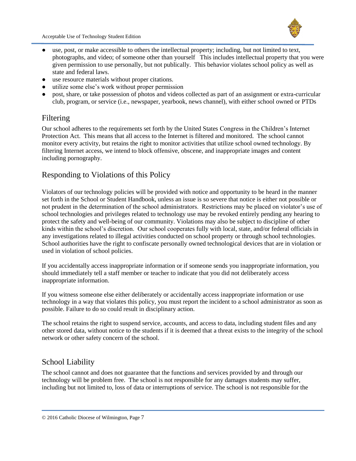- use, post, or make accessible to others the intellectual property; including, but not limited to text, photographs, and video; of someone other than yourself This includes intellectual property that you were given permission to use personally, but not publically. This behavior violates school policy as well as state and federal laws.
- use resource materials without proper citations.
- utilize some else's work without proper permission
- post, share, or take possession of photos and videos collected as part of an assignment or extra-curricular club, program, or service (i.e., newspaper, yearbook, news channel), with either school owned or PTDs

#### <span id="page-6-0"></span>Filtering

Our school adheres to the requirements set forth by the United States Congress in the Children's Internet Protection Act. This means that all access to the Internet is filtered and monitored. The school cannot monitor every activity, but retains the right to monitor activities that utilize school owned technology. By filtering Internet access, we intend to block offensive, obscene, and inappropriate images and content including pornography.

#### <span id="page-6-1"></span>Responding to Violations of this Policy

Violators of our technology policies will be provided with notice and opportunity to be heard in the manner set forth in the School or Student Handbook, unless an issue is so severe that notice is either not possible or not prudent in the determination of the school administrators. Restrictions may be placed on violator's use of school technologies and privileges related to technology use may be revoked entirely pending any hearing to protect the safety and well-being of our community. Violations may also be subject to discipline of other kinds within the school's discretion. Our school cooperates fully with local, state, and/or federal officials in any investigations related to illegal activities conducted on school property or through school technologies. School authorities have the right to confiscate personally owned technological devices that are in violation or used in violation of school policies.

If you accidentally access inappropriate information or if someone sends you inappropriate information, you should immediately tell a staff member or teacher to indicate that you did not deliberately access inappropriate information.

If you witness someone else either deliberately or accidentally access inappropriate information or use technology in a way that violates this policy, you must report the incident to a school administrator as soon as possible. Failure to do so could result in disciplinary action.

<span id="page-6-2"></span>The school retains the right to suspend service, accounts, and access to data, including student files and any other stored data, without notice to the students if it is deemed that a threat exists to the integrity of the school network or other safety concern of the school.

#### School Liability

The school cannot and does not guarantee that the functions and services provided by and through our technology will be problem free. The school is not responsible for any damages students may suffer, including but not limited to, loss of data or interruptions of service. The school is not responsible for the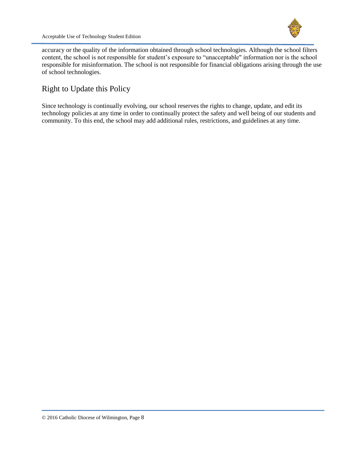accuracy or the quality of the information obtained through school technologies. Although the school filters content, the school is not responsible for student's exposure to "unacceptable" information nor is the school responsible for misinformation. The school is not responsible for financial obligations arising through the use of school technologies.

#### <span id="page-7-0"></span>Right to Update this Policy

Since technology is continually evolving, our school reserves the rights to change, update, and edit its technology policies at any time in order to continually protect the safety and well being of our students and community. To this end, the school may add additional rules, restrictions, and guidelines at any time.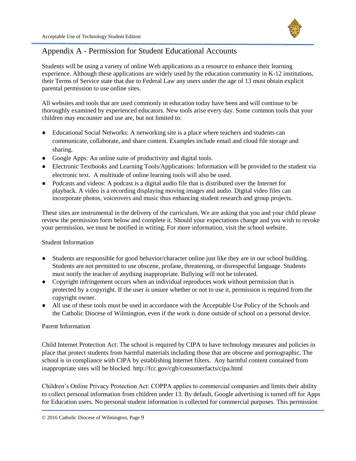

### Appendix A - Permission for Student Educational Accounts

Students will be using a variety of online Web applications as a resource to enhance their learning experience. Although these applications are widely used by the education community in K-12 institutions, their Terms of Service state that due to Federal Law any users under the age of 13 must obtain explicit parental permission to use online sites.

All websites and tools that are used commonly in education today have been and will continue to be thoroughly examined by experienced educators. New tools arise every day. Some common tools that your children may encounter and use are, but not limited to:

- Educational Social Networks: A networking site is a place where teachers and students can communicate, collaborate, and share content. Examples include email and cloud file storage and sharing.
- Google Apps: An online suite of productivity and digital tools.
- Electronic Textbooks and Learning Tools/Applications: Information will be provided to the student via electronic text. A multitude of online learning tools will also be used.
- Podcasts and videos: A podcast is a digital audio file that is distributed over the Internet for playback. A video is a recording displaying moving images and audio. Digital video files can incorporate photos, voiceovers and music thus enhancing student research and group projects.

These sites are instrumental in the delivery of the curriculum. We are asking that you and your child please review the permission form below and complete it. Should your expectations change and you wish to revoke your permission, we must be notified in writing. For more information, visit the school website.

#### Student Information

- Students are responsible for good behavior/character online just like they are in our school building. Students are not permitted to use obscene, profane, threatening, or disrespectful language. Students must notify the teacher of anything inappropriate. Bullying will not be tolerated.
- Copyright infringement occurs when an individual reproduces work without permission that is protected by a copyright. If the user is unsure whether or not to use it, permission is required from the copyright owner.
- All use of these tools must be used in accordance with the Acceptable Use Policy of the Schools and the Catholic Diocese of Wilmington, even if the work is done outside of school on a personal device.

#### Parent Information

Child Internet Protection Act: The school is required by CIPA to have technology measures and policies in place that protect students from harmful materials including those that are obscene and pornographic. The school is in compliance with CIPA by establishing Internet filters. Any harmful content contained from inappropriate sites will be blocked[.](https://www.fcc.gov/guides/childrens-internet-protection-act) [http://fcc.gov/cgb/consumerfacts/cipa.html](https://www.fcc.gov/guides/childrens-internet-protection-act)

Children's Online Privacy Protection Act: COPPA applies to commercial companies and limits their ability to collect personal information from children under 13. By default, Google advertising is turned off for Apps for Education users. No personal student information is collected for commercial purposes. This permission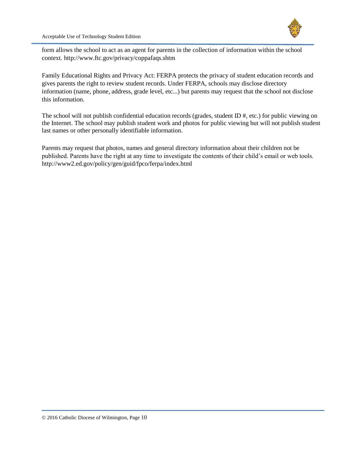

form allows the school to act as an agent for parents in the collection of information within the school context. [http://www.ftc.gov/privacy/coppafaqs.shtm](https://www.ftc.gov/tips-advice/business-center/guidance/complying-coppa-frequently-asked-questions)

Family Educational Rights and Privacy Act: FERPA protects the privacy of student education records and gives parents the right to review student records. Under FERPA, schools may disclose directory information (name, phone, address, grade level, etc...) but parents may request that the school not disclose this information.

The school will not publish confidential education records (grades, student ID #, etc.) for public viewing on the Internet. The school may publish student work and photos for public viewing but will not publish student last names or other personally identifiable information.

Parents may request that photos, names and general directory information about their children not be published. Parents have the right at any time to investigate the contents of their child's email or web tools[.](http://www.google.com/url?q=http%3A%2F%2Fwww2.ed.gov%2Fpolicy%2Fgen%2Fguid%2F&sa=D&sntz=1&usg=AFQjCNHdwAVuZiXoxydv4WLYQK0GA_Tajg) <http://www2.ed.gov/policy/gen/guid/fpco/ferpa/index.html>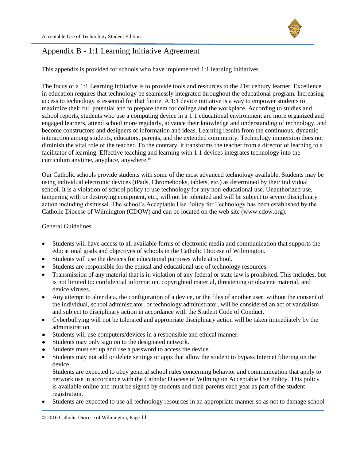

### Appendix B - 1:1 Learning Initiative Agreement

This appendix is provided for schools who have implemented 1:1 learning initiatives.

The focus of a 1:1 Learning Initiative is to provide tools and resources to the 21st century learner. Excellence in education requires that technology be seamlessly integrated throughout the educational program. Increasing access to technology is essential for that future. A 1:1 device initiative is a way to empower students to maximize their full potential and to prepare them for college and the workplace. According to studies and school reports, students who use a computing device in a 1:1 educational environment are more organized and engaged learners, attend school more regularly, advance their knowledge and understanding of technology, and become constructors and designers of information and ideas. Learning results from the continuous, dynamic interaction among students, educators, parents, and the extended community. Technology immersion does not diminish the vital role of the teacher. To the contrary, it transforms the teacher from a director of learning to a facilitator of learning. Effective teaching and learning with 1:1 devices integrates technology into the curriculum anytime, anyplace, anywhere.\*

Our Catholic schools provide students with some of the most advanced technology available. Students may be using individual electronic devices (iPads, Chromebooks, tablets, etc.) as determined by their individual school. It is a violation of school policy to use technology for any non-educational use. Unauthorized use, tampering with or destroying equipment, etc., will not be tolerated and will be subject to severe disciplinary action including dismissal. The school's Acceptable Use Policy for Technology has been established by the Catholic Diocese of Wilmington (CDOW) and can be located on the web site (www.cdow.org).

#### <span id="page-10-0"></span>General Guidelines

- Students will have access to all available forms of electronic media and communication that supports the educational goals and objectives of schools in the Catholic Diocese of Wilmington.
- Students will use the devices for educational purposes while at school.
- Students are responsible for the ethical and educational use of technology resources.
- Transmission of any material that is in violation of any federal or state law is prohibited. This includes, but is not limited to: confidential information, copyrighted material, threatening or obscene material, and device viruses.
- Any attempt to alter data, the configuration of a device, or the files of another user, without the consent of the individual, school administrator, or technology administrator, will be considered an act of vandalism and subject to disciplinary action in accordance with the Student Code of Conduct.
- Cyberbullying will not be tolerated and appropriate disciplinary action will be taken immediately by the administration.
- Students will use computers/devices in a responsible and ethical manner.
- Students may only sign on to the designated network.
- Students must set up and use a password to access the device.
- Students may not add or delete settings or apps that allow the student to bypass Internet filtering on the device.

Students are expected to obey general school rules concerning behavior and communication that apply to network use in accordance with the Catholic Diocese of Wilmington Acceptable Use Policy. This policy is available online and must be signed by students and their parents each year as part of the student registration.

Students are expected to use all technology resources in an appropriate manner so as not to damage school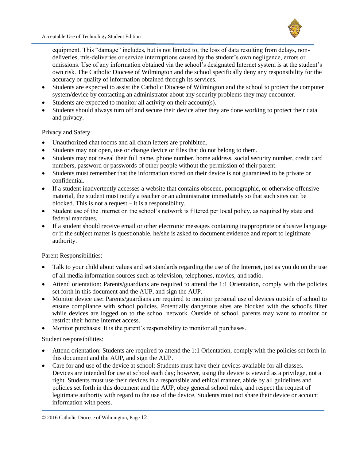

equipment. This "damage" includes, but is not limited to, the loss of data resulting from delays, nondeliveries, mis-deliveries or service interruptions caused by the student's own negligence, errors or omissions. Use of any information obtained via the school's designated Internet system is at the student's own risk. The Catholic Diocese of Wilmington and the school specifically deny any responsibility for the accuracy or quality of information obtained through its services.

- Students are expected to assist the Catholic Diocese of Wilmington and the school to protect the computer system/device by contacting an administrator about any security problems they may encounter.
- $\bullet$  Students are expected to monitor all activity on their account(s).
- Students should always turn off and secure their device after they are done working to protect their data and privacy.

#### Privacy and Safety

- Unauthorized chat rooms and all chain letters are prohibited.
- Students may not open, use or change device or files that do not belong to them.
- Students may not reveal their full name, phone number, home address, social security number, credit card numbers, password or passwords of other people without the permission of their parent.
- Students must remember that the information stored on their device is not guaranteed to be private or confidential.
- If a student inadvertently accesses a website that contains obscene, pornographic, or otherwise offensive material, the student must notify a teacher or an administrator immediately so that such sites can be blocked. This is not a request – it is a responsibility.
- Student use of the Internet on the school's network is filtered per local policy, as required by state and federal mandates.
- If a student should receive email or other electronic messages containing inappropriate or abusive language or if the subject matter is questionable, he/she is asked to document evidence and report to legitimate authority.

Parent Responsibilities:

- Talk to your child about values and set standards regarding the use of the Internet, just as you do on the use of all media information sources such as television, telephones, movies, and radio.
- Attend orientation: Parents/guardians are required to attend the 1:1 Orientation, comply with the policies set forth in this document and the AUP, and sign the AUP.
- Monitor device use: Parents/guardians are required to monitor personal use of devices outside of school to ensure compliance with school policies. Potentially dangerous sites are blocked with the school's filter while devices are logged on to the school network. Outside of school, parents may want to monitor or restrict their home Internet access.
- Monitor purchases: It is the parent's responsibility to monitor all purchases.

Student responsibilities:

- Attend orientation: Students are required to attend the 1:1 Orientation, comply with the policies set forth in this document and the AUP, and sign the AUP.
- Care for and use of the device at school: Students must have their devices available for all classes. Devices are intended for use at school each day; however, using the device is viewed as a privilege, not a right. Students must use their devices in a responsible and ethical manner, abide by all guidelines and policies set forth in this document and the AUP, obey general school rules, and respect the request of legitimate authority with regard to the use of the device. Students must not share their device or account information with peers.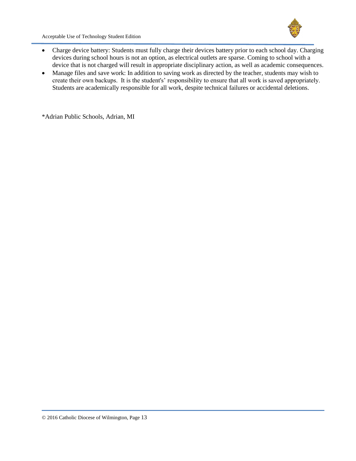

Acceptable Use of Technology Student Edition

- Charge device battery: Students must fully charge their devices battery prior to each school day. Charging devices during school hours is not an option, as electrical outlets are sparse. Coming to school with a device that is not charged will result in appropriate disciplinary action, as well as academic consequences.
- Manage files and save work: In addition to saving work as directed by the teacher, students may wish to create their own backups. It is the student's' responsibility to ensure that all work is saved appropriately. Students are academically responsible for all work, despite technical failures or accidental deletions.

\*Adrian Public Schools, Adrian, MI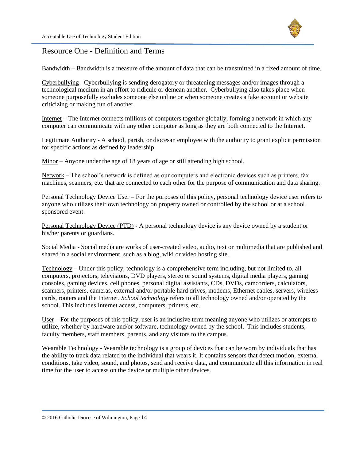

#### <span id="page-13-0"></span>Resource One - Definition and Terms

Bandwidth – Bandwidth is a measure of the amount of data that can be transmitted in a fixed amount of time.

Cyberbullying - Cyberbullying is sending derogatory or threatening messages and/or images through a technological medium in an effort to ridicule or demean another. Cyberbullying also takes place when someone purposefully excludes someone else online or when someone creates a fake account or website criticizing or making fun of another.

Internet – The Internet connects millions of computers together globally, forming a network in which any computer can communicate with any other computer as long as they are both connected to the Internet.

Legitimate Authority - A school, parish, or diocesan employee with the authority to grant explicit permission for specific actions as defined by leadership.

Minor – Anyone under the age of 18 years of age or still attending high school.

Network – The school's network is defined as our computers and electronic devices such as printers, fax machines, scanners, etc. that are connected to each other for the purpose of communication and data sharing.

Personal Technology Device User – For the purposes of this policy, personal technology device user refers to anyone who utilizes their own technology on property owned or controlled by the school or at a school sponsored event.

Personal Technology Device (PTD) - A personal technology device is any device owned by a student or his/her parents or guardians.

Social Media - Social media are works of user-created video, audio, text or multimedia that are published and shared in a social environment, such as a blog, wiki or video hosting site.

Technology – Under this policy, technology is a comprehensive term including, but not limited to, all computers, projectors, televisions, DVD players, stereo or sound systems, digital media players, gaming consoles, gaming devices, cell phones, personal digital assistants, CDs, DVDs, camcorders, calculators, scanners, printers, cameras, external and/or portable hard drives, modems, Ethernet cables, servers, wireless cards, routers and the Internet. *School technology* refers to all technology owned and/or operated by the school. This includes Internet access, computers, printers, etc.

User – For the purposes of this policy, user is an inclusive term meaning anyone who utilizes or attempts to utilize, whether by hardware and/or software, technology owned by the school. This includes students, faculty members, staff members, parents, and any visitors to the campus.

Wearable Technology - Wearable technology is a group of devices that can be worn by individuals that has the ability to track data related to the individual that wears it. It contains sensors that detect motion, external conditions, take video, sound, and photos, send and receive data, and communicate all this information in real time for the user to access on the device or multiple other devices.